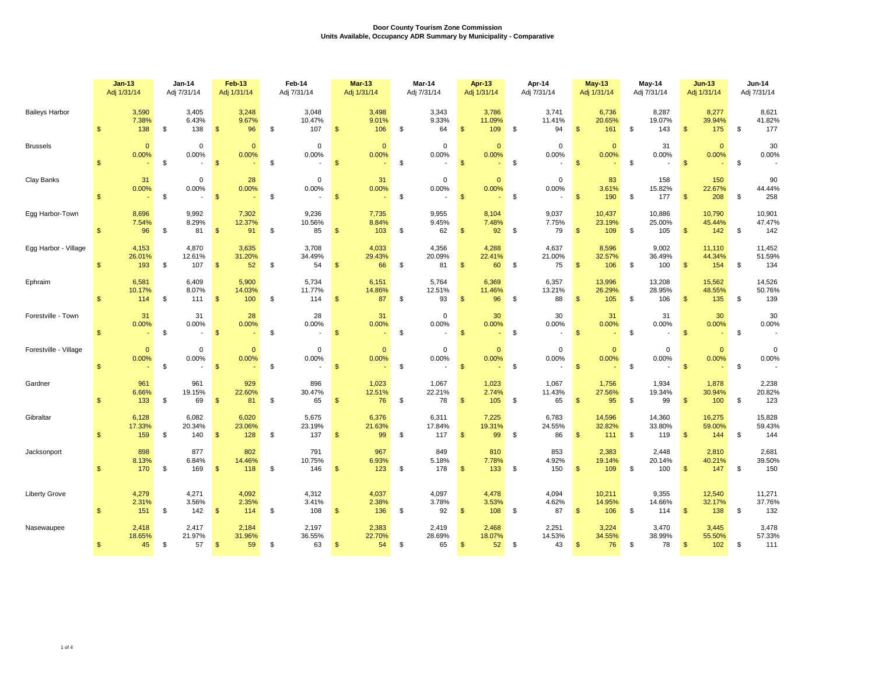|                       | $Jan-13$<br>Adj 1/31/14 |                        | <b>Jan-14</b><br>Adj 7/31/14 |                        | Feb-13<br>Adj 1/31/14 |                        | Feb-14<br>Adj 7/31/14 |                        | <b>Mar-13</b><br>Adj 1/31/14 |                       | Mar-14<br>Adj 7/31/14 |                        | Apr-13<br>Adj 1/31/14 |                               | Apr-14<br>Adj 7/31/14 |                       |                    | <b>May-13</b><br>Adj 1/31/14 |               | May-14<br>Adj 7/31/14   | $Jun-13$<br>Adj 1/31/14 |                         | <b>Jun-14</b><br>Adj 7/31/14 |                         |
|-----------------------|-------------------------|------------------------|------------------------------|------------------------|-----------------------|------------------------|-----------------------|------------------------|------------------------------|-----------------------|-----------------------|------------------------|-----------------------|-------------------------------|-----------------------|-----------------------|--------------------|------------------------------|---------------|-------------------------|-------------------------|-------------------------|------------------------------|-------------------------|
| <b>Baileys Harbor</b> | $\mathfrak{s}$          | 3,590<br>7.38%<br>138  | \$                           | 3,405<br>6.43%<br>138  | $\mathfrak{s}$        | 3,248<br>9.67%<br>96   | \$                    | 3,048<br>10.47%<br>107 | $\mathfrak{s}$               | 3,498<br>9.01%<br>106 | \$                    | 3,343<br>9.33%<br>64   | \$                    | 3,786<br>11.09%<br>109        | \$                    | 3,741<br>11.41%<br>94 | $\mathfrak{s}$     | 6,736<br>20.65%<br>161       | \$            | 8,287<br>19.07%<br>143  | \$                      | 8,277<br>39.94%<br>175  | \$                           | 8,621<br>41.82%<br>177  |
| <b>Brussels</b>       | $\mathfrak{s}$          | $\Omega$<br>0.00%      | \$                           | $\mathbf 0$<br>0.00%   | $\mathfrak{s}$        | $\mathbf{0}$<br>0.00%  | \$                    | $\mathbf 0$<br>0.00%   | $\mathbf{\$}$                | $\mathbf{0}$<br>0.00% | \$                    | $\mathbf 0$<br>0.00%   | $\mathfrak{s}$        | $\Omega$<br>0.00%             | \$                    | $\mathbf 0$<br>0.00%  | $\mathbf{\hat{s}}$ | $\Omega$<br>0.00%            | \$            | 31<br>0.00%             | $\mathbf{\hat{s}}$      | $\Omega$<br>0.00%       | \$                           | 30<br>0.00%             |
| Clay Banks            | $\mathfrak{s}$          | 31<br>0.00%            | \$                           | 0<br>0.00%             | $\sqrt{S}$            | 28<br>0.00%            | \$                    | $\mathbf 0$<br>0.00%   | $\sqrt{3}$                   | 31<br>0.00%           | \$                    | $\mathbf 0$<br>0.00%   | $\mathbf{\hat{s}}$    | $\Omega$<br>0.00%<br>$\omega$ | \$                    | $\mathbf 0$<br>0.00%  | $\mathbf{\$}$      | 83<br>3.61%<br>190           | \$            | 158<br>15.82%<br>177    | $\mathfrak{s}$          | 150<br>22.67%<br>208    | \$                           | 90<br>44.44%<br>258     |
| Egg Harbor-Town       | $\mathfrak{s}$          | 8,696<br>7.54%<br>96   | \$                           | 9,992<br>8.29%<br>81   | $\mathbf{\$}$         | 7,302<br>12.37%<br>91  | \$                    | 9,236<br>10.56%<br>85  | $\frac{1}{2}$                | 7,735<br>8.84%<br>103 | \$                    | 9,955<br>9.45%<br>62   | $\frac{1}{2}$         | 8,104<br>7.48%<br>92          | \$                    | 9,037<br>7.75%<br>79  | $\mathbf{\$}$      | 10,437<br>23.19%<br>109      | \$            | 10,886<br>25.00%<br>105 | $\sqrt{2}$              | 10,790<br>45.44%<br>142 | \$                           | 10,901<br>47.47%<br>142 |
| Egg Harbor - Village  | $\mathfrak{s}$          | 4,153<br>26.01%<br>193 | \$                           | 4,870<br>12.61%<br>107 | $\mathfrak{s}$        | 3,635<br>31.20%<br>52  | \$                    | 3,708<br>34.49%<br>54  | $\mathfrak{s}$               | 4,033<br>29.43%<br>66 | \$                    | 4.356<br>20.09%<br>81  | $\mathbf{\$}$         | 4,288<br>22.41%<br>60         | \$                    | 4,637<br>21.00%<br>75 | $\mathbf{\$}$      | 8.596<br>32.57%<br>106       | \$            | 9.002<br>36.49%<br>100  | $\mathfrak{s}$          | 11,110<br>44.34%<br>154 | \$                           | 11,452<br>51.59%<br>134 |
| Ephraim               | $\mathfrak{s}$          | 6,581<br>10.17%<br>114 | \$                           | 6,409<br>8.07%<br>111  | $\mathfrak{s}$        | 5,900<br>14.03%<br>100 | \$                    | 5,734<br>11.77%<br>114 | $\mathbf{\$}$                | 6,151<br>14.86%<br>87 | \$                    | 5,764<br>12.51%<br>93  | $\mathfrak{s}$        | 6,369<br>11.46%<br>96         | \$                    | 6,357<br>13.21%<br>88 | $\mathbf{\$}$      | 13,996<br>26.29%<br>105      | \$            | 13,208<br>28.95%<br>106 | $\mathfrak{s}$          | 15,562<br>48.55%<br>135 | \$                           | 14,526<br>50.76%<br>139 |
| Forestville - Town    | $\mathfrak{s}$          | 31<br>0.00%            | \$                           | 31<br>0.00%            | $\mathfrak{s}$        | 28<br>0.00%            | \$                    | 28<br>0.00%            | $\mathfrak{s}$               | 31<br>0.00%           | \$                    | $\mathbf 0$<br>0.00%   | $\mathbf{\$}$         | 30<br>0.00%<br>$\omega$       | \$                    | 30<br>0.00%           | \$                 | 31<br>0.00%                  | \$            | 31<br>0.00%             | $\mathfrak{s}$          | 30<br>0.00%             | \$                           | 30<br>0.00%             |
| Forestville - Village | $\mathfrak{s}$          | $\mathbf{0}$<br>0.00%  | \$                           | $\mathbf 0$<br>0.00%   | $\mathfrak{s}$        | $\mathbf{0}$<br>0.00%  | \$                    | $\mathbf 0$<br>0.00%   | $\mathbf{\$}$                | $\mathbf{0}$<br>0.00% | \$                    | $\mathbf 0$<br>0.00%   | $\sqrt{3}$            | $\Omega$<br>0.00%             | \$                    | $\mathbf 0$<br>0.00%  | $\mathbf{\$}$      | $\Omega$<br>0.00%            | $\mathfrak s$ | $\mathbf 0$<br>0.00%    | $\sqrt[6]{3}$           | $\mathbf{0}$<br>0.00%   | \$                           | $\mathbf 0$<br>0.00%    |
| Gardner               | $\mathfrak{s}$          | 961<br>6.66%<br>133    | \$                           | 961<br>19.15%<br>69    | $\mathbf{\hat{s}}$    | 929<br>22.60%<br>81    | \$                    | 896<br>30.47%<br>65    | $\mathbf{\$}$                | 1,023<br>12.51%<br>76 | \$                    | 1,067<br>22.21%<br>78  | $\mathbf{\hat{s}}$    | 1,023<br>2.74%<br>105         | \$                    | 1,067<br>11.43%<br>65 | $\mathbf{\$}$      | 1,756<br>27.56%<br>95        | \$            | 1.934<br>19.34%<br>99   | $\mathbf{\$}$           | 1,878<br>30.94%<br>100  | \$                           | 2,238<br>20.82%<br>123  |
| Gibraltar             | $\mathfrak{s}$          | 6.128<br>17.33%<br>159 | \$                           | 6,082<br>20.34%<br>140 | $\mathfrak{s}$        | 6,020<br>23.06%<br>128 | \$                    | 5,675<br>23.19%<br>137 | $\mathfrak{s}$               | 6,376<br>21.63%<br>99 | \$                    | 6,311<br>17.84%<br>117 | \$                    | 7,225<br>19.31%<br>99         | \$                    | 6,783<br>24.55%<br>86 | $\mathbf{\$}$      | 14,596<br>32.82%<br>111      | \$            | 14,360<br>33.80%<br>119 | \$                      | 16,275<br>59.00%<br>144 | \$                           | 15,828<br>59.43%<br>144 |
| Jacksonport           | $\mathbb{S}$            | 898<br>8.13%<br>170    | \$                           | 877<br>6.84%<br>169    | $\mathfrak{s}$        | 802<br>14.46%<br>118   | \$                    | 791<br>10.75%<br>146   | $\sqrt[3]{2}$                | 967<br>6.93%<br>123   | \$                    | 849<br>5.18%<br>178    | $\mathfrak{s}$        | 810<br>7.78%<br>133           | \$                    | 853<br>4.92%<br>150   | \$                 | 2,383<br>19.14%<br>109       | \$            | 2,448<br>20.14%<br>100  | $\mathfrak{s}$          | 2,810<br>40.21%<br>147  | \$                           | 2,681<br>39.50%<br>150  |
| <b>Liberty Grove</b>  | $\mathfrak{s}$          | 4,279<br>2.31%<br>151  | \$                           | 4,271<br>3.56%<br>142  | $\mathfrak{s}$        | 4,092<br>2.35%<br>114  | \$                    | 4,312<br>3.41%<br>108  | <b>S</b>                     | 4,037<br>2.38%<br>136 | \$                    | 4,097<br>3.78%<br>92   | $\mathbf{\$}$         | 4,478<br>3.53%<br>108         | \$                    | 4,094<br>4.62%<br>87  | $\mathbf{\$}$      | 10,211<br>14.95%<br>106      | -\$           | 9,355<br>14.66%<br>114  | \$                      | 12,540<br>32.17%<br>138 | \$                           | 11,271<br>37.76%<br>132 |
| Nasewaupee            | $\mathbb{S}$            | 2,418<br>18.65%<br>45  | $\mathfrak s$                | 2,417<br>21.97%<br>57  | $\mathbf{s}$          | 2,184<br>31.96%<br>59  | \$                    | 2,197<br>36.55%<br>63  | $\mathbf{s}$                 | 2,383<br>22.70%<br>54 | \$                    | 2,419<br>28.69%<br>65  | \$                    | 2,468<br>18.07%<br>52         | \$                    | 2,251<br>14.53%<br>43 | $\mathbf{\$}$      | 3,224<br>34.55%<br>76        | \$            | 3,470<br>38.99%<br>78   | \$                      | 3,445<br>55.50%<br>102  | \$                           | 3,478<br>57.33%<br>111  |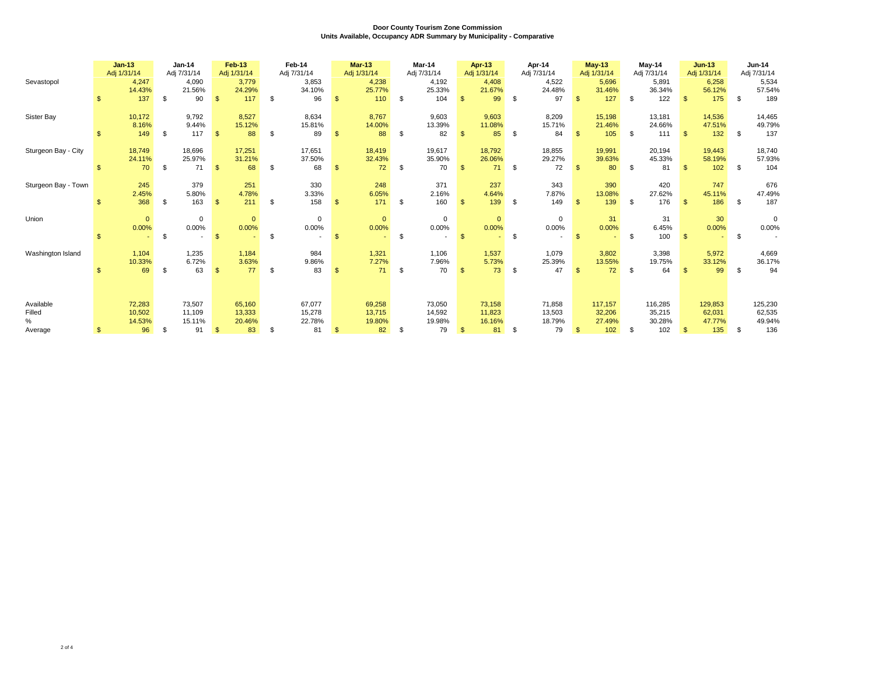| Sevastopol                          | $\mathfrak{S}$ | $Jan-13$<br>Adj 1/31/14<br>4,247<br>14.43%<br>137 | \$<br>$Jan-14$<br>Adj 7/31/14<br>4,090<br>21.56%<br>90 | $\mathbf{\$}$  | Feb-13<br>Adj 1/31/14<br>3,779<br>24.29%<br>117 | \$   | Feb-14<br>Adj 7/31/14<br>3,853<br>34.10%<br>96 | $\mathbf{s}$   | <b>Mar-13</b><br>Adj 1/31/14<br>4,238<br>25.77%<br>110 | \$<br>Mar-14<br>Adj 7/31/14<br>4,192<br>25.33%<br>104 | $\mathbb{S}$ | <b>Apr-13</b><br>Adj 1/31/14<br>4,408<br>21.67%<br>99 | \$<br>Apr-14<br>Adj 7/31/14<br>4,522<br>24.48%<br>97 | $\mathbf{\$}$ | $May-13$<br>Adj 1/31/14<br>5,696<br>31.46%<br>127 | \$             | $May-14$<br>Adj 7/31/14<br>5,891<br>36.34%<br>122 | $\mathbb{S}$ | $Jun-13$<br>Adj 1/31/14<br>6,258<br>56.12%<br>175 | - \$ | Jun-14<br>Adj 7/31/14<br>5,534<br>57.54%<br>189 |
|-------------------------------------|----------------|---------------------------------------------------|--------------------------------------------------------|----------------|-------------------------------------------------|------|------------------------------------------------|----------------|--------------------------------------------------------|-------------------------------------------------------|--------------|-------------------------------------------------------|------------------------------------------------------|---------------|---------------------------------------------------|----------------|---------------------------------------------------|--------------|---------------------------------------------------|------|-------------------------------------------------|
| Sister Bay                          | \$             | 10,172<br>8.16%<br>149                            | \$<br>9,792<br>9.44%<br>117                            | $\mathbf{s}$   | 8,527<br>15.12%<br>88                           | \$   | 8,634<br>15.81%<br>89                          | -\$            | 8,767<br>14.00%<br>88                                  | \$<br>9,603<br>13.39%<br>82                           | $\mathbb{S}$ | 9,603<br>11.08%<br>85                                 | \$<br>8,209<br>15.71%<br>84                          | -S            | 15,198<br>21.46%<br>105                           | \$.            | 13,181<br>24.66%<br>111                           | $\mathbb{S}$ | 14,536<br>47.51%<br>132                           | - \$ | 14,465<br>49.79%<br>137                         |
| Sturgeon Bay - City                 | \$             | 18,749<br>24.11%<br>70                            | \$<br>18,696<br>25.97%<br>71                           | $\mathfrak{s}$ | 17,251<br>31.21%<br>68                          | \$   | 17,651<br>37.50%<br>68                         | $\mathfrak{s}$ | 18,419<br>32.43%<br>72                                 | \$<br>19,617<br>35.90%<br>70                          | $\mathbb{S}$ | 18,792<br>26.06%<br>71                                | \$<br>18,855<br>29.27%<br>72                         | $\mathbf{\$}$ | 19,991<br>39.63%<br>80                            | \$             | 20,194<br>45.33%<br>81                            | $\mathbb{S}$ | 19,443<br>58.19%<br>102                           | - \$ | 18,740<br>57.93%<br>104                         |
| Sturgeon Bay - Town                 | $\mathbf{s}$   | 245<br>2.45%<br>368                               | \$<br>379<br>5.80%<br>163                              | $\mathbf{s}$   | 251<br>4.78%<br>211                             | - \$ | 330<br>3.33%<br>158                            | $\mathbf{s}$   | 248<br>6.05%<br>171                                    | \$<br>371<br>2.16%<br>160                             | $\mathbf{s}$ | 237<br>4.64%<br>139                                   | \$<br>343<br>7.87%<br>149                            | $\mathbf{\$}$ | 390<br>13.08%<br>139                              | $\mathfrak{L}$ | 420<br>27.62%<br>176                              | $\mathbf{s}$ | 747<br>45.11%<br>186                              | - \$ | 676<br>47.49%<br>187                            |
| Union                               | $\mathfrak{S}$ | $\mathbf{0}$<br>0.00%                             | \$<br>$\mathbf 0$<br>$0.00\%$                          | $\mathbf{\$}$  | $\mathbf{0}$<br>0.00%                           | \$   | 0<br>0.00%                                     | $\mathfrak{F}$ | $\mathbf{0}$<br>0.00%                                  | \$<br>$\mathbf 0$<br>$0.00\%$                         | $\mathbf{s}$ | $\mathbf{0}$<br>0.00%                                 | \$<br>$\mathbf 0$<br>0.00%                           | $\mathbf{\$}$ | 31<br>0.00%                                       | \$             | 31<br>6.45%<br>100                                | $\mathbb{S}$ | 30<br>0.00%                                       | \$   | $\mathbf 0$<br>0.00%                            |
| Washington Island                   | \$             | 1,104<br>10.33%<br>69                             | \$<br>1,235<br>6.72%<br>63                             | $\mathfrak{s}$ | 1,184<br>3.63%<br>77                            | \$   | 984<br>9.86%<br>83                             | \$.            | 1,321<br>7.27%<br>71                                   | \$<br>1,106<br>7.96%<br>70                            | $\mathbb{S}$ | 1,537<br>5.73%<br>73                                  | \$<br>1,079<br>25.39%<br>47                          | $\mathbf{S}$  | 3,802<br>13.55%<br>72                             | \$             | 3,398<br>19.75%<br>64                             | £.           | 5,972<br>33.12%<br>99                             | \$   | 4,669<br>36.17%<br>94                           |
| Available<br>Filled<br>%<br>Average | \$             | 72,283<br>10,502<br>14.53%<br>96                  | \$<br>73,507<br>11,109<br>15.11%<br>91                 | \$             | 65,160<br>13,333<br>20.46%<br>83                | \$   | 67,077<br>15,278<br>22.78%<br>81               | \$             | 69,258<br>13,715<br>19.80%<br>82                       | \$<br>73,050<br>14,592<br>19.98%<br>79                | $\mathbb{S}$ | 73,158<br>11,823<br>16.16%<br>81                      | \$<br>71,858<br>13,503<br>18.79%<br>79               | \$            | 117,157<br>32,206<br>27.49%<br>102                | \$             | 116,285<br>35,215<br>30.28%<br>102                | $\mathbb{S}$ | 129,853<br>62,031<br>47.77%<br>135                | \$   | 125,230<br>62,535<br>49.94%<br>136              |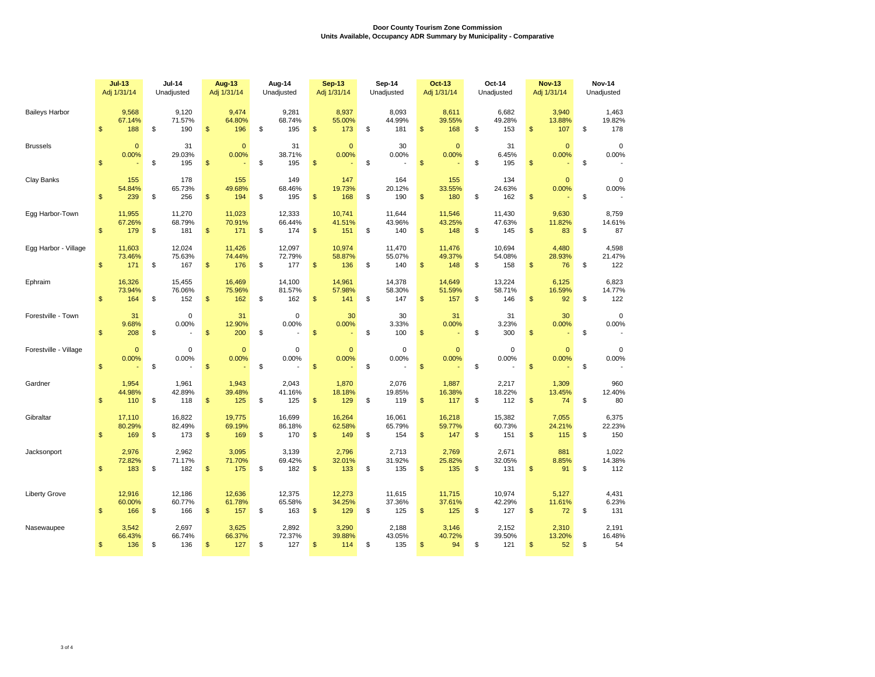|                       | $Jul-13$<br>Adj 1/31/14 |                         | <b>Jul-14</b><br>Unadjusted |                         |                | <b>Aug-13</b><br>Adj 1/31/14 | Aug-14<br>Unadjusted          |                         | <b>Sep-13</b><br>Adj 1/31/14 | Sep-14<br>Unadjusted          | <b>Oct-13</b><br>Adj 1/31/14 |                         | Oct-14<br>Unadjusted          | <b>Nov-13</b><br>Adj 1/31/14 |                            |              | <b>Nov-14</b><br>Unadjusted            |
|-----------------------|-------------------------|-------------------------|-----------------------------|-------------------------|----------------|------------------------------|-------------------------------|-------------------------|------------------------------|-------------------------------|------------------------------|-------------------------|-------------------------------|------------------------------|----------------------------|--------------|----------------------------------------|
| <b>Baileys Harbor</b> | \$                      | 9,568<br>67.14%<br>188  | \$                          | 9,120<br>71.57%<br>190  | \$             | 9,474<br>64.80%<br>196       | \$<br>9,281<br>68.74%<br>195  | \$                      | 8,937<br>55.00%<br>173       | \$<br>8,093<br>44.99%<br>181  | $\mathfrak{s}$               | 8,611<br>39.55%<br>168  | \$<br>6,682<br>49.28%<br>153  | \$                           | 3,940<br>13.88%<br>107     | \$           | 1,463<br>19.82%<br>178                 |
| <b>Brussels</b>       | $\mathbb{S}$            | $\mathbf 0$<br>0.00%    | \$                          | 31<br>29.03%<br>195     | $\mathsf{\$}$  | $\mathbf{0}$<br>0.00%        | \$<br>31<br>38.71%<br>195     | $\sqrt[6]{\frac{1}{2}}$ | $\mathbf{0}$<br>0.00%        | \$<br>30<br>0.00%             | $\mathbb{S}$                 | $\mathbf 0$<br>0.00%    | \$<br>31<br>6.45%<br>195      | \$                           | $\mathbf 0$<br>0.00%       | $\mathbb{S}$ | $\mathbf 0$<br>0.00%                   |
| Clay Banks            | $\mathbf{\$}$           | 155<br>54.84%<br>239    | \$                          | 178<br>65.73%<br>256    | $\mathsf{\$}$  | 155<br>49.68%<br>194         | \$<br>149<br>68.46%<br>195    | $\mathfrak{s}$          | 147<br>19.73%<br>168         | \$<br>164<br>20.12%<br>190    | $\mathfrak{s}$               | 155<br>33.55%<br>180    | \$<br>134<br>24.63%<br>162    | \$                           | $\mathbf 0$<br>0.00%<br>÷, | \$           | $\mathbf 0$<br>0.00%                   |
| Egg Harbor-Town       | \$                      | 11,955<br>67.26%<br>179 | \$                          | 11,270<br>68.79%<br>181 | \$             | 11,023<br>70.91%<br>171      | \$<br>12,333<br>66.44%<br>174 | \$                      | 10,741<br>41.51%<br>151      | \$<br>11,644<br>43.96%<br>140 | \$                           | 11,546<br>43.25%<br>148 | \$<br>11,430<br>47.63%<br>145 | \$                           | 9,630<br>11.82%<br>83      | \$           | 8,759<br>14.61%<br>87                  |
| Egg Harbor - Village  | $\mathsf{\$}$           | 11,603<br>73.46%<br>171 | \$                          | 12,024<br>75.63%<br>167 | \$             | 11,426<br>74.44%<br>176      | \$<br>12,097<br>72.79%<br>177 | $\mathfrak{s}$          | 10,974<br>58.87%<br>136      | \$<br>11,470<br>55.07%<br>140 | $\mathbb{S}$                 | 11,476<br>49.37%<br>148 | \$<br>10.694<br>54.08%<br>158 | \$                           | 4,480<br>28.93%<br>76      | \$           | 4,598<br>21.47%<br>122                 |
| Ephraim               | $\mathsf{\$}$           | 16,326<br>73.94%<br>164 | \$                          | 15,455<br>76.06%<br>152 | $\mathbf{s}$   | 16.469<br>75.96%<br>162      | \$<br>14,100<br>81.57%<br>162 | $\mathfrak{s}$          | 14,961<br>57.98%<br>141      | \$<br>14,378<br>58.30%<br>147 | $\mathfrak{s}$               | 14,649<br>51.59%<br>157 | \$<br>13,224<br>58.71%<br>146 | \$                           | 6.125<br>16.59%<br>92      | \$           | 6,823<br>14.77%<br>122                 |
| Forestville - Town    | \$                      | 31<br>9.68%<br>208      | \$                          | $\mathbf 0$<br>0.00%    | \$             | 31<br>12.90%<br>200          | \$<br>0<br>0.00%              | \$                      | 30<br>0.00%                  | \$<br>30<br>3.33%<br>100      | \$                           | 31<br>0.00%             | \$<br>31<br>3.23%<br>300      | \$                           | 30<br>0.00%                | \$           | $\mathbf 0$<br>0.00%                   |
| Forestville - Village | $\mathsf{\$}$           | $\overline{0}$<br>0.00% | \$                          | $\mathbf 0$<br>0.00%    | $\mathsf{\$}$  | $\mathbf{0}$<br>0.00%        | \$<br>$\mathbf 0$<br>0.00%    | $\sqrt[6]{\frac{1}{2}}$ | $\overline{0}$<br>0.00%      | \$<br>$\mathbf 0$<br>0.00%    | $\mathfrak{s}$               | $\mathbf{0}$<br>0.00%   | \$<br>$\mathbf 0$<br>0.00%    | $\mathsf{\$}$                | $\mathbf{0}$<br>0.00%      | \$           | $\mathbf 0$<br>0.00%<br>$\overline{a}$ |
| Gardner               | \$                      | 1,954<br>44.98%<br>110  | \$                          | 1,961<br>42.89%<br>118  | \$             | 1,943<br>39.48%<br>125       | \$<br>2,043<br>41.16%<br>125  | $\mathfrak{s}$          | 1,870<br>18.18%<br>129       | \$<br>2,076<br>19.85%<br>119  | $\mathfrak{s}$               | 1,887<br>16.38%<br>117  | \$<br>2,217<br>18.22%<br>112  | \$                           | 1,309<br>13.45%<br>74      | \$           | 960<br>12.40%<br>80                    |
| Gibraltar             | \$                      | 17,110<br>80.29%<br>169 | \$                          | 16,822<br>82.49%<br>173 | $\mathfrak{s}$ | 19.775<br>69.19%<br>169      | \$<br>16,699<br>86.18%<br>170 | $\mathfrak{s}$          | 16,264<br>62.58%<br>149      | \$<br>16,061<br>65.79%<br>154 | $\mathfrak{s}$               | 16,218<br>59.77%<br>147 | \$<br>15,382<br>60.73%<br>151 | \$                           | 7,055<br>24.21%<br>115     | \$           | 6,375<br>22.23%<br>150                 |
| Jacksonport           | \$                      | 2,976<br>72.82%<br>183  | \$                          | 2,962<br>71.17%<br>182  | \$             | 3,095<br>71.70%<br>175       | \$<br>3,139<br>69.42%<br>182  | $\mathfrak{s}$          | 2,796<br>32.01%<br>133       | \$<br>2,713<br>31.92%<br>135  | $\mathfrak{s}$               | 2,769<br>25.82%<br>135  | \$<br>2,671<br>32.05%<br>131  | \$                           | 881<br>8.85%<br>91         | \$           | 1,022<br>14.38%<br>112                 |
| <b>Liberty Grove</b>  | \$                      | 12,916<br>60.00%<br>166 | \$                          | 12,186<br>60.77%<br>166 | $\mathsf{\$}$  | 12,636<br>61.78%<br>157      | \$<br>12,375<br>65.58%<br>163 | $\mathfrak{s}$          | 12,273<br>34.25%<br>129      | \$<br>11,615<br>37.36%<br>125 | $\mathfrak{s}$               | 11,715<br>37.61%<br>125 | \$<br>10,974<br>42.29%<br>127 | \$                           | 5,127<br>11.61%<br>72      | \$           | 4,431<br>6.23%<br>131                  |
| Nasewaupee            | $\mathsf{\$}$           | 3,542<br>66.43%<br>136  | \$                          | 2,697<br>66.74%<br>136  | \$             | 3,625<br>66.37%<br>127       | \$<br>2,892<br>72.37%<br>127  | \$                      | 3,290<br>39.88%<br>114       | \$<br>2,188<br>43.05%<br>135  | $\mathfrak{s}$               | 3,146<br>40.72%<br>94   | \$<br>2,152<br>39.50%<br>121  | \$                           | 2,310<br>13.20%<br>52      | \$           | 2,191<br>16.48%<br>54                  |